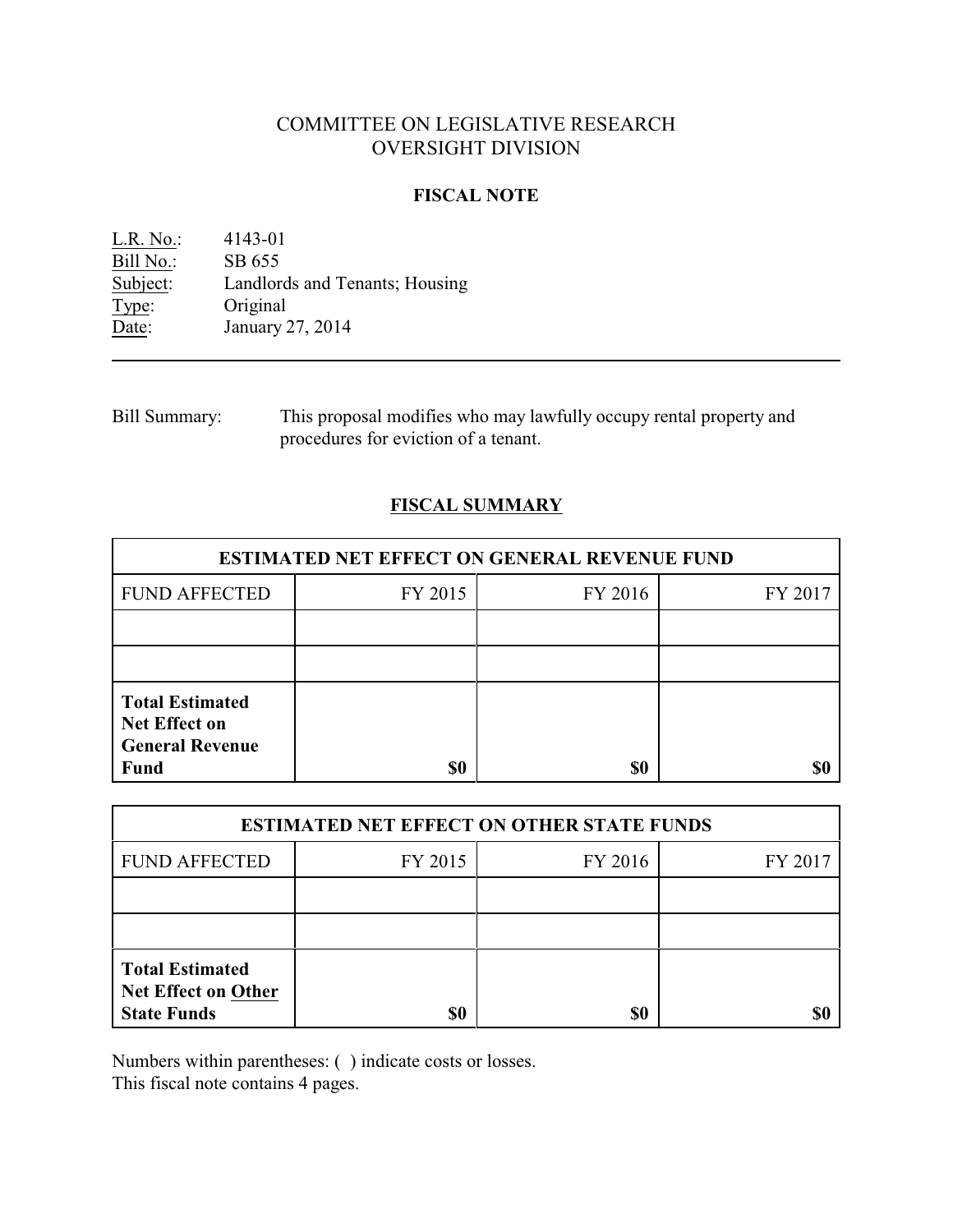# COMMITTEE ON LEGISLATIVE RESEARCH OVERSIGHT DIVISION

### **FISCAL NOTE**

L.R. No.: 4143-01 Bill No.: SB 655<br>Subject: Landlore Landlords and Tenants; Housing Type: Original Date: January 27, 2014

Bill Summary: This proposal modifies who may lawfully occupy rental property and procedures for eviction of a tenant.

## **FISCAL SUMMARY**

| <b>ESTIMATED NET EFFECT ON GENERAL REVENUE FUND</b>                                     |         |         |         |  |
|-----------------------------------------------------------------------------------------|---------|---------|---------|--|
| <b>FUND AFFECTED</b>                                                                    | FY 2015 | FY 2016 | FY 2017 |  |
|                                                                                         |         |         |         |  |
|                                                                                         |         |         |         |  |
| <b>Total Estimated</b><br><b>Net Effect on</b><br><b>General Revenue</b><br><b>Fund</b> | \$0     | \$0     |         |  |

| <b>ESTIMATED NET EFFECT ON OTHER STATE FUNDS</b>                           |         |         |         |  |
|----------------------------------------------------------------------------|---------|---------|---------|--|
| <b>FUND AFFECTED</b>                                                       | FY 2015 | FY 2016 | FY 2017 |  |
|                                                                            |         |         |         |  |
|                                                                            |         |         |         |  |
| <b>Total Estimated</b><br><b>Net Effect on Other</b><br><b>State Funds</b> | \$0     | \$0     |         |  |

Numbers within parentheses: ( ) indicate costs or losses.

This fiscal note contains 4 pages.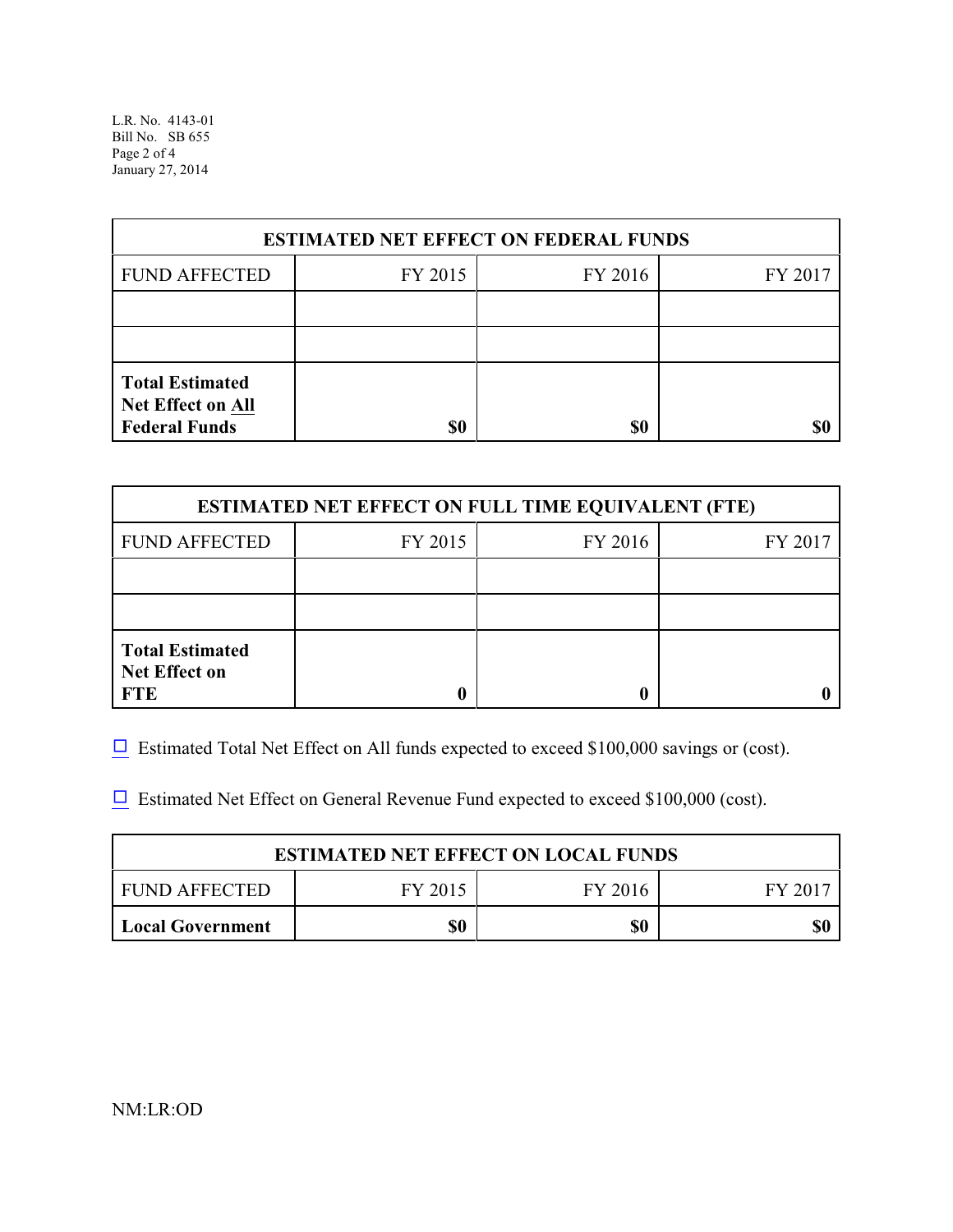L.R. No. 4143-01 Bill No. SB 655 Page 2 of 4 January 27, 2014

| <b>ESTIMATED NET EFFECT ON FEDERAL FUNDS</b>                        |         |         |         |  |
|---------------------------------------------------------------------|---------|---------|---------|--|
| <b>FUND AFFECTED</b>                                                | FY 2015 | FY 2016 | FY 2017 |  |
|                                                                     |         |         |         |  |
|                                                                     |         |         |         |  |
| <b>Total Estimated</b><br>Net Effect on All<br><b>Federal Funds</b> | \$0     | \$0     |         |  |

| <b>ESTIMATED NET EFFECT ON FULL TIME EQUIVALENT (FTE)</b>    |         |         |         |  |
|--------------------------------------------------------------|---------|---------|---------|--|
| <b>FUND AFFECTED</b>                                         | FY 2015 | FY 2016 | FY 2017 |  |
|                                                              |         |         |         |  |
|                                                              |         |         |         |  |
| <b>Total Estimated</b><br><b>Net Effect on</b><br><b>FTE</b> |         |         |         |  |

 $\Box$  Estimated Total Net Effect on All funds expected to exceed \$100,000 savings or (cost).

 $\Box$  Estimated Net Effect on General Revenue Fund expected to exceed \$100,000 (cost).

| <b>ESTIMATED NET EFFECT ON LOCAL FUNDS</b> |         |         |       |  |
|--------------------------------------------|---------|---------|-------|--|
| FUND AFFECTED                              | FY 2015 | FY 2016 | FV 20 |  |
| <b>Local Government</b>                    | \$0     | \$0     |       |  |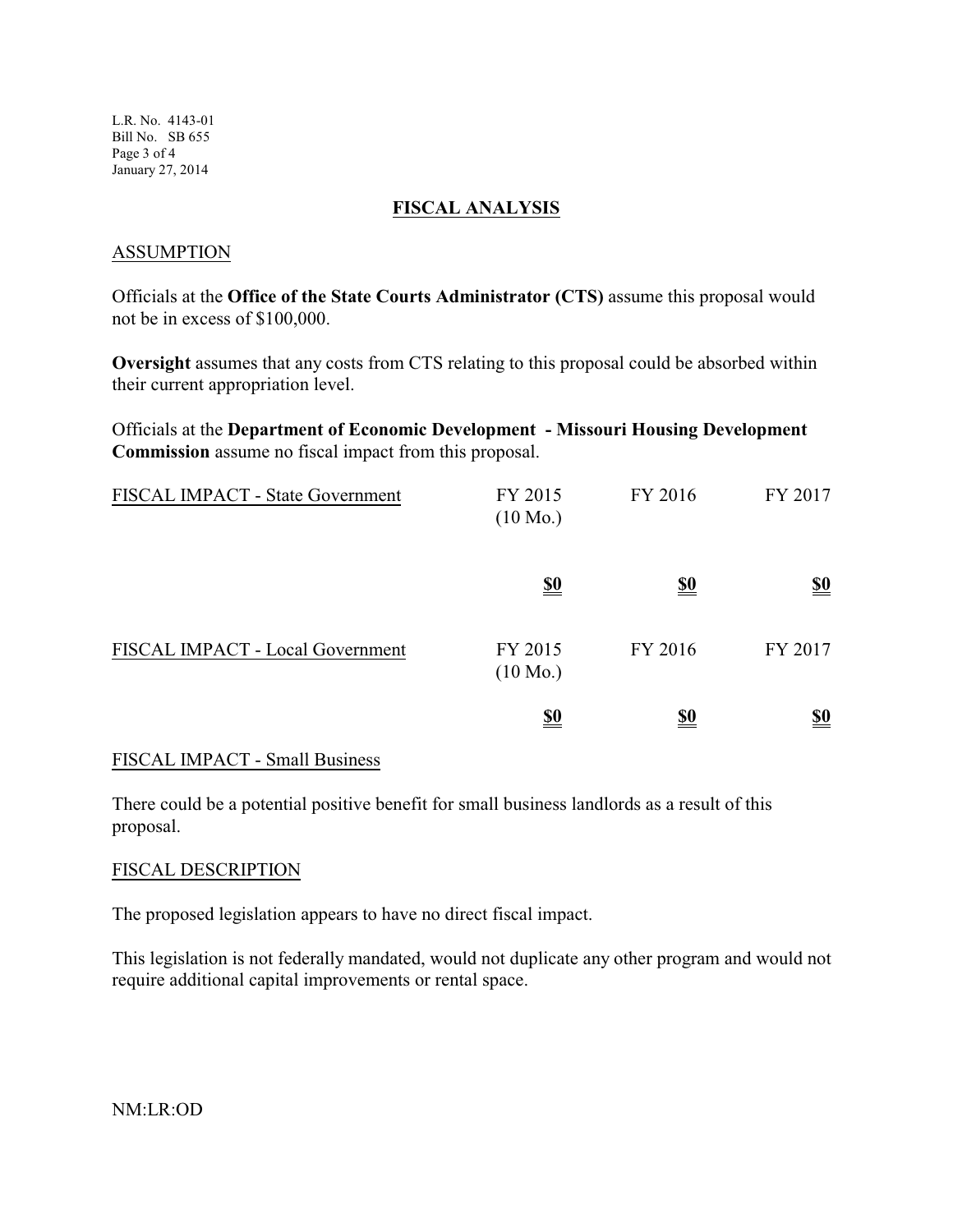L.R. No. 4143-01 Bill No. SB 655 Page 3 of 4 January 27, 2014

#### **FISCAL ANALYSIS**

#### ASSUMPTION

Officials at the **Office of the State Courts Administrator (CTS)** assume this proposal would not be in excess of \$100,000.

**Oversight** assumes that any costs from CTS relating to this proposal could be absorbed within their current appropriation level.

Officials at the **Department of Economic Development - Missouri Housing Development Commission** assume no fiscal impact from this proposal.

| FISCAL IMPACT - State Government | FY 2015<br>$(10 \text{ Mo.})$ | FY 2016    | FY 2017    |
|----------------------------------|-------------------------------|------------|------------|
|                                  | <u>\$0</u>                    | <u>\$0</u> | <u>\$0</u> |
| FISCAL IMPACT - Local Government | FY 2015<br>$(10 \text{ Mo.})$ | FY 2016    | FY 2017    |
|                                  | <u>\$0</u>                    | <u>\$0</u> | <u>\$0</u> |

### FISCAL IMPACT - Small Business

There could be a potential positive benefit for small business landlords as a result of this proposal.

#### FISCAL DESCRIPTION

The proposed legislation appears to have no direct fiscal impact.

This legislation is not federally mandated, would not duplicate any other program and would not require additional capital improvements or rental space.